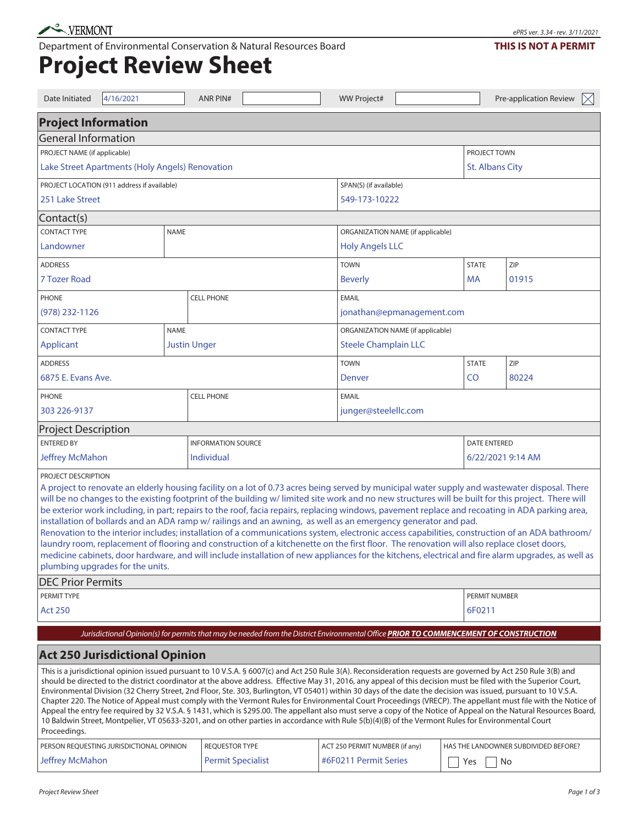Department of Environmental Conservation & Natural Resources Board

## **Project Review Sheet**

| Date Initiated                     | 4/16/2021                                       |  | <b>ANR PIN#</b>           |                                                                                                                                                                                                                                                                                                                                                                                                                                                                                                                                                                                                                                                                                                                                                                                                                                                                                                                                                                                                                                | <b>WW Project#</b>                |                             |              |                     | Pre-application Review               | $\bowtie$ |  |
|------------------------------------|-------------------------------------------------|--|---------------------------|--------------------------------------------------------------------------------------------------------------------------------------------------------------------------------------------------------------------------------------------------------------------------------------------------------------------------------------------------------------------------------------------------------------------------------------------------------------------------------------------------------------------------------------------------------------------------------------------------------------------------------------------------------------------------------------------------------------------------------------------------------------------------------------------------------------------------------------------------------------------------------------------------------------------------------------------------------------------------------------------------------------------------------|-----------------------------------|-----------------------------|--------------|---------------------|--------------------------------------|-----------|--|
| <b>Project Information</b>         |                                                 |  |                           |                                                                                                                                                                                                                                                                                                                                                                                                                                                                                                                                                                                                                                                                                                                                                                                                                                                                                                                                                                                                                                |                                   |                             |              |                     |                                      |           |  |
| <b>General Information</b>         |                                                 |  |                           |                                                                                                                                                                                                                                                                                                                                                                                                                                                                                                                                                                                                                                                                                                                                                                                                                                                                                                                                                                                                                                |                                   |                             |              |                     |                                      |           |  |
| PROJECT NAME (if applicable)       |                                                 |  |                           |                                                                                                                                                                                                                                                                                                                                                                                                                                                                                                                                                                                                                                                                                                                                                                                                                                                                                                                                                                                                                                |                                   |                             |              |                     | PROJECT TOWN                         |           |  |
|                                    | Lake Street Apartments (Holy Angels) Renovation |  |                           | <b>St. Albans City</b>                                                                                                                                                                                                                                                                                                                                                                                                                                                                                                                                                                                                                                                                                                                                                                                                                                                                                                                                                                                                         |                                   |                             |              |                     |                                      |           |  |
|                                    | PROJECT LOCATION (911 address if available)     |  |                           |                                                                                                                                                                                                                                                                                                                                                                                                                                                                                                                                                                                                                                                                                                                                                                                                                                                                                                                                                                                                                                | SPAN(S) (if available)            |                             |              |                     |                                      |           |  |
| 251 Lake Street                    |                                                 |  |                           |                                                                                                                                                                                                                                                                                                                                                                                                                                                                                                                                                                                                                                                                                                                                                                                                                                                                                                                                                                                                                                | 549-173-10222                     |                             |              |                     |                                      |           |  |
| Contact(s)                         |                                                 |  |                           |                                                                                                                                                                                                                                                                                                                                                                                                                                                                                                                                                                                                                                                                                                                                                                                                                                                                                                                                                                                                                                |                                   |                             |              |                     |                                      |           |  |
| <b>CONTACT TYPE</b><br><b>NAME</b> |                                                 |  |                           |                                                                                                                                                                                                                                                                                                                                                                                                                                                                                                                                                                                                                                                                                                                                                                                                                                                                                                                                                                                                                                | ORGANIZATION NAME (if applicable) |                             |              |                     |                                      |           |  |
| Landowner                          |                                                 |  |                           |                                                                                                                                                                                                                                                                                                                                                                                                                                                                                                                                                                                                                                                                                                                                                                                                                                                                                                                                                                                                                                | <b>Holy Angels LLC</b>            |                             |              |                     |                                      |           |  |
| <b>ADDRESS</b>                     |                                                 |  |                           |                                                                                                                                                                                                                                                                                                                                                                                                                                                                                                                                                                                                                                                                                                                                                                                                                                                                                                                                                                                                                                | <b>TOWN</b>                       |                             | <b>STATE</b> | ZIP                 |                                      |           |  |
| 7 Tozer Road                       |                                                 |  |                           |                                                                                                                                                                                                                                                                                                                                                                                                                                                                                                                                                                                                                                                                                                                                                                                                                                                                                                                                                                                                                                | <b>Beverly</b>                    |                             | МA           |                     | 01915                                |           |  |
| <b>PHONE</b>                       |                                                 |  | <b>CELL PHONE</b>         |                                                                                                                                                                                                                                                                                                                                                                                                                                                                                                                                                                                                                                                                                                                                                                                                                                                                                                                                                                                                                                | <b>EMAIL</b>                      |                             |              |                     |                                      |           |  |
| (978) 232-1126                     |                                                 |  |                           |                                                                                                                                                                                                                                                                                                                                                                                                                                                                                                                                                                                                                                                                                                                                                                                                                                                                                                                                                                                                                                | jonathan@epmanagement.com         |                             |              |                     |                                      |           |  |
| <b>CONTACT TYPE</b><br><b>NAME</b> |                                                 |  |                           |                                                                                                                                                                                                                                                                                                                                                                                                                                                                                                                                                                                                                                                                                                                                                                                                                                                                                                                                                                                                                                | ORGANIZATION NAME (if applicable) |                             |              |                     |                                      |           |  |
| Applicant                          | <b>Justin Unger</b>                             |  |                           |                                                                                                                                                                                                                                                                                                                                                                                                                                                                                                                                                                                                                                                                                                                                                                                                                                                                                                                                                                                                                                |                                   | <b>Steele Champlain LLC</b> |              |                     |                                      |           |  |
| <b>ADDRESS</b>                     |                                                 |  |                           |                                                                                                                                                                                                                                                                                                                                                                                                                                                                                                                                                                                                                                                                                                                                                                                                                                                                                                                                                                                                                                | <b>TOWN</b>                       |                             | <b>STATE</b> | ZIP                 |                                      |           |  |
| 6875 E. Evans Ave.                 |                                                 |  |                           |                                                                                                                                                                                                                                                                                                                                                                                                                                                                                                                                                                                                                                                                                                                                                                                                                                                                                                                                                                                                                                | Denver                            |                             | CO           |                     | 80224                                |           |  |
| <b>PHONE</b>                       |                                                 |  | <b>CELL PHONE</b>         |                                                                                                                                                                                                                                                                                                                                                                                                                                                                                                                                                                                                                                                                                                                                                                                                                                                                                                                                                                                                                                | <b>EMAIL</b>                      |                             |              |                     |                                      |           |  |
| 303 226-9137                       |                                                 |  |                           |                                                                                                                                                                                                                                                                                                                                                                                                                                                                                                                                                                                                                                                                                                                                                                                                                                                                                                                                                                                                                                | junger@steelellc.com              |                             |              |                     |                                      |           |  |
| <b>Project Description</b>         |                                                 |  |                           |                                                                                                                                                                                                                                                                                                                                                                                                                                                                                                                                                                                                                                                                                                                                                                                                                                                                                                                                                                                                                                |                                   |                             |              |                     |                                      |           |  |
| <b>ENTERED BY</b>                  |                                                 |  | <b>INFORMATION SOURCE</b> |                                                                                                                                                                                                                                                                                                                                                                                                                                                                                                                                                                                                                                                                                                                                                                                                                                                                                                                                                                                                                                |                                   |                             |              | <b>DATE ENTERED</b> |                                      |           |  |
| <b>Jeffrey McMahon</b>             |                                                 |  | Individual                |                                                                                                                                                                                                                                                                                                                                                                                                                                                                                                                                                                                                                                                                                                                                                                                                                                                                                                                                                                                                                                |                                   |                             |              | 6/22/2021 9:14 AM   |                                      |           |  |
| PROJECT DESCRIPTION                | plumbing upgrades for the units.                |  |                           | A project to renovate an elderly housing facility on a lot of 0.73 acres being served by municipal water supply and wastewater disposal. There<br>will be no changes to the existing footprint of the building w/limited site work and no new structures will be built for this project. There will<br>be exterior work including, in part; repairs to the roof, facia repairs, replacing windows, pavement replace and recoating in ADA parking area,<br>installation of bollards and an ADA ramp w/ railings and an awning, as well as an emergency generator and pad.<br>Renovation to the interior includes; installation of a communications system, electronic access capabilities, construction of an ADA bathroom/<br>laundry room, replacement of flooring and construction of a kitchenette on the first floor. The renovation will also replace closet doors,<br>medicine cabinets, door hardware, and will include installation of new appliances for the kitchens, electrical and fire alarm upgrades, as well as |                                   |                             |              |                     |                                      |           |  |
| <b>DEC Prior Permits</b>           |                                                 |  |                           |                                                                                                                                                                                                                                                                                                                                                                                                                                                                                                                                                                                                                                                                                                                                                                                                                                                                                                                                                                                                                                |                                   |                             |              |                     |                                      |           |  |
| PERMIT TYPE                        |                                                 |  |                           |                                                                                                                                                                                                                                                                                                                                                                                                                                                                                                                                                                                                                                                                                                                                                                                                                                                                                                                                                                                                                                |                                   |                             |              | PERMIT NUMBER       |                                      |           |  |
| <b>Act 250</b>                     |                                                 |  |                           |                                                                                                                                                                                                                                                                                                                                                                                                                                                                                                                                                                                                                                                                                                                                                                                                                                                                                                                                                                                                                                |                                   |                             |              | 6F0211              |                                      |           |  |
|                                    |                                                 |  |                           | Jurisdictional Opinion(s) for permits that may be needed from the District Environmental Office PRIOR TO COMMENCEMENT OF CONSTRUCTION                                                                                                                                                                                                                                                                                                                                                                                                                                                                                                                                                                                                                                                                                                                                                                                                                                                                                          |                                   |                             |              |                     |                                      |           |  |
|                                    | <b>Act 250 Jurisdictional Opinion</b>           |  |                           |                                                                                                                                                                                                                                                                                                                                                                                                                                                                                                                                                                                                                                                                                                                                                                                                                                                                                                                                                                                                                                |                                   |                             |              |                     |                                      |           |  |
| Proceedings.                       | PERSON REQUESTING JURISDICTIONAL OPINION        |  | <b>REQUESTOR TYPE</b>     | This is a jurisdictional opinion issued pursuant to 10 V.S.A. § 6007(c) and Act 250 Rule 3(A). Reconsideration requests are governed by Act 250 Rule 3(B) and<br>should be directed to the district coordinator at the above address. Effective May 31, 2016, any appeal of this decision must be filed with the Superior Court,<br>Environmental Division (32 Cherry Street, 2nd Floor, Ste. 303, Burlington, VT 05401) within 30 days of the date the decision was issued, pursuant to 10 V.S.A.<br>Chapter 220. The Notice of Appeal must comply with the Vermont Rules for Environmental Court Proceedings (VRECP). The appellant must file with the Notice of<br>Appeal the entry fee required by 32 V.S.A. § 1431, which is \$295.00. The appellant also must serve a copy of the Notice of Appeal on the Natural Resources Board,<br>10 Baldwin Street, Montpelier, VT 05633-3201, and on other parties in accordance with Rule 5(b)(4)(B) of the Vermont Rules for Environmental Court                                 | ACT 250 PERMIT NUMBER (if any)    |                             |              |                     | HAS THE LANDOWNER SUBDIVIDED BEFORE? |           |  |
| <b>Jeffrey McMahon</b>             |                                                 |  |                           | <b>Permit Specialist</b><br>#6F0211 Permit Series                                                                                                                                                                                                                                                                                                                                                                                                                                                                                                                                                                                                                                                                                                                                                                                                                                                                                                                                                                              |                                   |                             |              | Yes<br>No           |                                      |           |  |
|                                    |                                                 |  |                           |                                                                                                                                                                                                                                                                                                                                                                                                                                                                                                                                                                                                                                                                                                                                                                                                                                                                                                                                                                                                                                |                                   |                             |              |                     |                                      |           |  |

ePRS ver. 3.34 · rev. 3/11/2021

## **THIS IS NOT A PERMIT**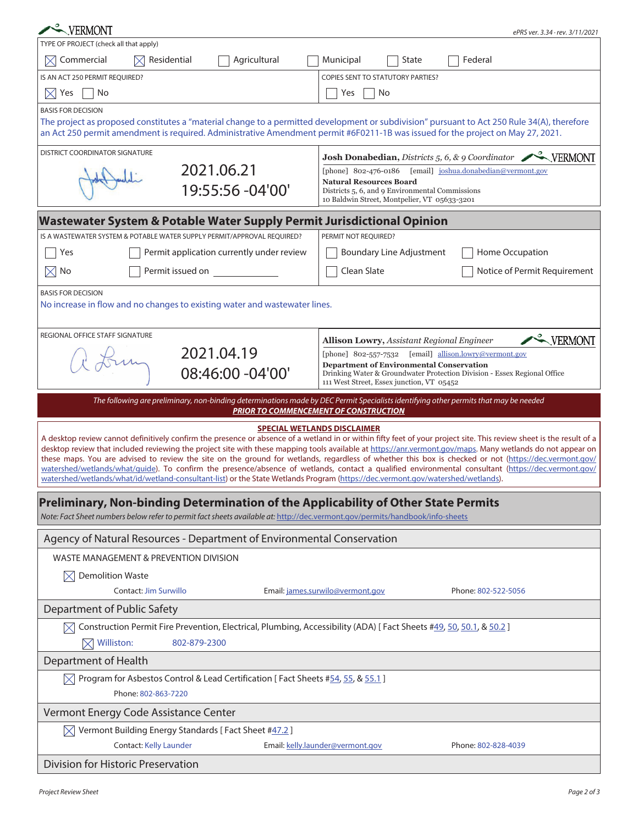| VERMONT                                                                                                                                                                                                                                                                                                                                                                                                                                                                                                                                                                                                                                                                                                                                                                                                                     | ePRS ver. 3.34 · rev. 3/11/2021                                                                                                                                                                    |  |  |  |  |  |  |
|-----------------------------------------------------------------------------------------------------------------------------------------------------------------------------------------------------------------------------------------------------------------------------------------------------------------------------------------------------------------------------------------------------------------------------------------------------------------------------------------------------------------------------------------------------------------------------------------------------------------------------------------------------------------------------------------------------------------------------------------------------------------------------------------------------------------------------|----------------------------------------------------------------------------------------------------------------------------------------------------------------------------------------------------|--|--|--|--|--|--|
| TYPE OF PROJECT (check all that apply)                                                                                                                                                                                                                                                                                                                                                                                                                                                                                                                                                                                                                                                                                                                                                                                      |                                                                                                                                                                                                    |  |  |  |  |  |  |
| Commercial<br>Residential<br>Agricultural                                                                                                                                                                                                                                                                                                                                                                                                                                                                                                                                                                                                                                                                                                                                                                                   | State<br>Federal<br>Municipal                                                                                                                                                                      |  |  |  |  |  |  |
| IS AN ACT 250 PERMIT REQUIRED?                                                                                                                                                                                                                                                                                                                                                                                                                                                                                                                                                                                                                                                                                                                                                                                              | <b>COPIES SENT TO STATUTORY PARTIES?</b>                                                                                                                                                           |  |  |  |  |  |  |
| $\times$ Yes<br>No                                                                                                                                                                                                                                                                                                                                                                                                                                                                                                                                                                                                                                                                                                                                                                                                          | Yes<br>No                                                                                                                                                                                          |  |  |  |  |  |  |
| <b>BASIS FOR DECISION</b><br>The project as proposed constitutes a "material change to a permitted development or subdivision" pursuant to Act 250 Rule 34(A), therefore<br>an Act 250 permit amendment is required. Administrative Amendment permit #6F0211-1B was issued for the project on May 27, 2021.                                                                                                                                                                                                                                                                                                                                                                                                                                                                                                                 |                                                                                                                                                                                                    |  |  |  |  |  |  |
| <b>DISTRICT COORDINATOR SIGNATURE</b>                                                                                                                                                                                                                                                                                                                                                                                                                                                                                                                                                                                                                                                                                                                                                                                       | Josh Donabedian, Districts 5, 6, & 9 Coordinator VERMONT                                                                                                                                           |  |  |  |  |  |  |
| 2021.06.21<br>19:55:56 -04'00'                                                                                                                                                                                                                                                                                                                                                                                                                                                                                                                                                                                                                                                                                                                                                                                              | [phone] 802-476-0186<br>[email] joshua.donabedian@vermont.gov<br><b>Natural Resources Board</b><br>Districts 5, 6, and 9 Environmental Commissions<br>10 Baldwin Street, Montpelier, VT 05633-3201 |  |  |  |  |  |  |
| Wastewater System & Potable Water Supply Permit Jurisdictional Opinion                                                                                                                                                                                                                                                                                                                                                                                                                                                                                                                                                                                                                                                                                                                                                      |                                                                                                                                                                                                    |  |  |  |  |  |  |
| IS A WASTEWATER SYSTEM & POTABLE WATER SUPPLY PERMIT/APPROVAL REQUIRED?                                                                                                                                                                                                                                                                                                                                                                                                                                                                                                                                                                                                                                                                                                                                                     | PERMIT NOT REOUIRED?                                                                                                                                                                               |  |  |  |  |  |  |
| Permit application currently under review<br>Yes                                                                                                                                                                                                                                                                                                                                                                                                                                                                                                                                                                                                                                                                                                                                                                            | <b>Boundary Line Adjustment</b><br>Home Occupation                                                                                                                                                 |  |  |  |  |  |  |
| Permit issued on<br>$\boxtimes$ No                                                                                                                                                                                                                                                                                                                                                                                                                                                                                                                                                                                                                                                                                                                                                                                          | Clean Slate<br>Notice of Permit Requirement                                                                                                                                                        |  |  |  |  |  |  |
| <b>BASIS FOR DECISION</b><br>No increase in flow and no changes to existing water and wastewater lines.                                                                                                                                                                                                                                                                                                                                                                                                                                                                                                                                                                                                                                                                                                                     |                                                                                                                                                                                                    |  |  |  |  |  |  |
| REGIONAL OFFICE STAFF SIGNATURE                                                                                                                                                                                                                                                                                                                                                                                                                                                                                                                                                                                                                                                                                                                                                                                             | WERMONT<br><b>Allison Lowry, Assistant Regional Engineer</b>                                                                                                                                       |  |  |  |  |  |  |
| 2021.04.19                                                                                                                                                                                                                                                                                                                                                                                                                                                                                                                                                                                                                                                                                                                                                                                                                  | [phone] 802-557-7532 [email] allison.lowry@vermont.gov<br><b>Department of Environmental Conservation</b>                                                                                          |  |  |  |  |  |  |
| 08:46:00 -04'00'                                                                                                                                                                                                                                                                                                                                                                                                                                                                                                                                                                                                                                                                                                                                                                                                            | Drinking Water & Groundwater Protection Division - Essex Regional Office<br>111 West Street, Essex junction, VT 05452                                                                              |  |  |  |  |  |  |
|                                                                                                                                                                                                                                                                                                                                                                                                                                                                                                                                                                                                                                                                                                                                                                                                                             | The following are preliminary, non-binding determinations made by DEC Permit Specialists identifying other permits that may be needed                                                              |  |  |  |  |  |  |
|                                                                                                                                                                                                                                                                                                                                                                                                                                                                                                                                                                                                                                                                                                                                                                                                                             | <b>PRIOR TO COMMENCEMENT OF CONSTRUCTION</b>                                                                                                                                                       |  |  |  |  |  |  |
| <b>SPECIAL WETLANDS DISCLAIMER</b><br>A desktop review cannot definitively confirm the presence or absence of a wetland in or within fifty feet of your project site. This review sheet is the result of a<br>desktop review that included reviewing the project site with these mapping tools available at https://anr.vermont.gov/maps. Many wetlands do not appear on<br>these maps. You are advised to review the site on the ground for wetlands, regardless of whether this box is checked or not (https://dec.vermont.gov/<br>watershed/wetlands/what/quide). To confirm the presence/absence of wetlands, contact a qualified environmental consultant (https://dec.vermont.gov/<br>watershed/wetlands/what/id/wetland-consultant-list) or the State Wetlands Program (https://dec.vermont.gov/watershed/wetlands). |                                                                                                                                                                                                    |  |  |  |  |  |  |
| Preliminary, Non-binding Determination of the Applicability of Other State Permits<br>Note: Fact Sheet numbers below refer to permit fact sheets available at: http://dec.vermont.gov/permits/handbook/info-sheets                                                                                                                                                                                                                                                                                                                                                                                                                                                                                                                                                                                                          |                                                                                                                                                                                                    |  |  |  |  |  |  |
|                                                                                                                                                                                                                                                                                                                                                                                                                                                                                                                                                                                                                                                                                                                                                                                                                             |                                                                                                                                                                                                    |  |  |  |  |  |  |
| Agency of Natural Resources - Department of Environmental Conservation                                                                                                                                                                                                                                                                                                                                                                                                                                                                                                                                                                                                                                                                                                                                                      |                                                                                                                                                                                                    |  |  |  |  |  |  |
| WASTE MANAGEMENT & PREVENTION DIVISION                                                                                                                                                                                                                                                                                                                                                                                                                                                                                                                                                                                                                                                                                                                                                                                      |                                                                                                                                                                                                    |  |  |  |  |  |  |
| <b>Demolition Waste</b>                                                                                                                                                                                                                                                                                                                                                                                                                                                                                                                                                                                                                                                                                                                                                                                                     |                                                                                                                                                                                                    |  |  |  |  |  |  |
| Contact: Jim Surwillo                                                                                                                                                                                                                                                                                                                                                                                                                                                                                                                                                                                                                                                                                                                                                                                                       | Email: james.surwilo@vermont.gov<br>Phone: 802-522-5056                                                                                                                                            |  |  |  |  |  |  |
| Department of Public Safety                                                                                                                                                                                                                                                                                                                                                                                                                                                                                                                                                                                                                                                                                                                                                                                                 |                                                                                                                                                                                                    |  |  |  |  |  |  |
| $\boxtimes$ Construction Permit Fire Prevention, Electrical, Plumbing, Accessibility (ADA) [Fact Sheets #49, 50, 50.1, & 50.2]                                                                                                                                                                                                                                                                                                                                                                                                                                                                                                                                                                                                                                                                                              |                                                                                                                                                                                                    |  |  |  |  |  |  |
| $\boxtimes$ Williston:<br>802-879-2300                                                                                                                                                                                                                                                                                                                                                                                                                                                                                                                                                                                                                                                                                                                                                                                      |                                                                                                                                                                                                    |  |  |  |  |  |  |
| Department of Health                                                                                                                                                                                                                                                                                                                                                                                                                                                                                                                                                                                                                                                                                                                                                                                                        |                                                                                                                                                                                                    |  |  |  |  |  |  |
| Program for Asbestos Control & Lead Certification [Fact Sheets #54, 55, & 55.1]                                                                                                                                                                                                                                                                                                                                                                                                                                                                                                                                                                                                                                                                                                                                             |                                                                                                                                                                                                    |  |  |  |  |  |  |
| Phone: 802-863-7220                                                                                                                                                                                                                                                                                                                                                                                                                                                                                                                                                                                                                                                                                                                                                                                                         |                                                                                                                                                                                                    |  |  |  |  |  |  |
| Vermont Energy Code Assistance Center                                                                                                                                                                                                                                                                                                                                                                                                                                                                                                                                                                                                                                                                                                                                                                                       |                                                                                                                                                                                                    |  |  |  |  |  |  |
| Vermont Building Energy Standards [ Fact Sheet #47.2 ]<br>IXI<br>Contact: Kelly Launder                                                                                                                                                                                                                                                                                                                                                                                                                                                                                                                                                                                                                                                                                                                                     | Email: kelly.launder@vermont.gov<br>Phone: 802-828-4039                                                                                                                                            |  |  |  |  |  |  |